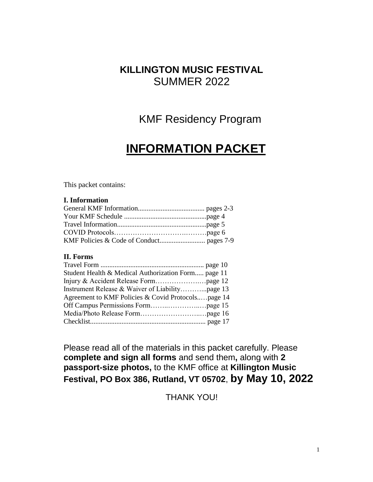## **KILLINGTON MUSIC FESTIVAL**  SUMMER 2022

# KMF Residency Program

# **INFORMATION PACKET**

This packet contains:

#### **I. Information**

#### **II. Forms**

| Student Health & Medical Authorization Form page 11 |
|-----------------------------------------------------|
|                                                     |
|                                                     |
|                                                     |
| Agreement to KMF Policies & Covid Protocolspage 14  |
|                                                     |
|                                                     |
|                                                     |

Please read all of the materials in this packet carefully. Please **complete and sign all forms** and send them**,** along with **2 passport-size photos,** to the KMF office at **Killington Music Festival, PO Box 386, Rutland, VT 05702**, **by May 10, 2022**

THANK YOU!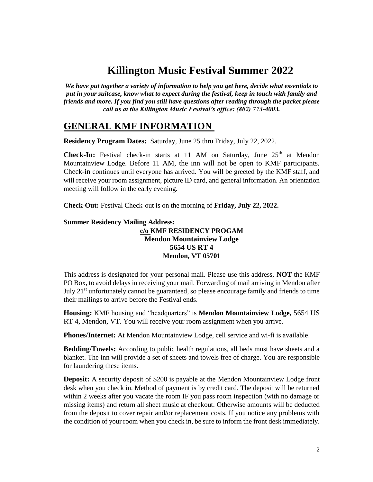# **Killington Music Festival Summer 2022**

*We have put together a variety of information to help you get here, decide what essentials to put in your suitcase, know what to expect during the festival, keep in touch with family and friends and more. If you find you still have questions after reading through the packet please call us at the Killington Music Festival's office: (802) 773-4003.* 

### **GENERAL KMF INFORMATION**

**Residency Program Dates:** Saturday, June 25 thru Friday, July 22, 2022.

**Check-In:** Festival check-in starts at 11 AM on Saturday, June  $25<sup>th</sup>$  at Mendon Mountainview Lodge. Before 11 AM, the inn will not be open to KMF participants. Check-in continues until everyone has arrived. You will be greeted by the KMF staff, and will receive your room assignment, picture ID card, and general information. An orientation meeting will follow in the early evening.

**Check-Out:** Festival Check-out is on the morning of **Friday, July 22, 2022.**

#### **Summer Residency Mailing Address:**

#### **c/o KMF RESIDENCY PROGAM Mendon Mountainview Lodge 5654 US RT 4 Mendon, VT 05701**

This address is designated for your personal mail. Please use this address, **NOT** the KMF PO Box, to avoid delays in receiving your mail. Forwarding of mail arriving in Mendon after July 21<sup>st</sup> unfortunately cannot be guaranteed, so please encourage family and friends to time their mailings to arrive before the Festival ends.

**Housing:** KMF housing and "headquarters" is **Mendon Mountainview Lodge,** 5654 US RT 4, Mendon, VT. You will receive your room assignment when you arrive.

**Phones/Internet:** At Mendon Mountainview Lodge, cell service and wi-fi is available.

**Bedding/Towels:** According to public health regulations, all beds must have sheets and a blanket. The inn will provide a set of sheets and towels free of charge. You are responsible for laundering these items.

**Deposit:** A security deposit of \$200 is payable at the Mendon Mountainview Lodge front desk when you check in. Method of payment is by credit card. The deposit will be returned within 2 weeks after you vacate the room IF you pass room inspection (with no damage or missing items) and return all sheet music at checkout. Otherwise amounts will be deducted from the deposit to cover repair and/or replacement costs. If you notice any problems with the condition of your room when you check in, be sure to inform the front desk immediately.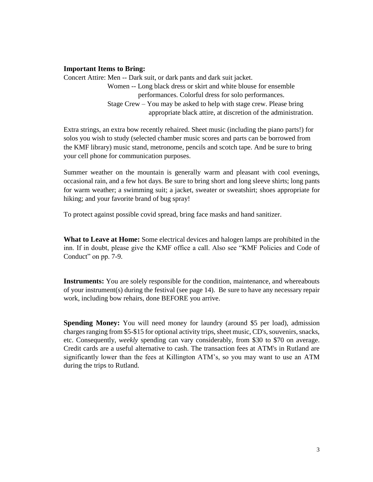#### **Important Items to Bring:**

Concert Attire: Men -- Dark suit, or dark pants and dark suit jacket. Women -- Long black dress or skirt and white blouse for ensemble performances. Colorful dress for solo performances. Stage Crew – You may be asked to help with stage crew. Please bring appropriate black attire, at discretion of the administration.

Extra strings, an extra bow recently rehaired. Sheet music (including the piano parts!) for solos you wish to study (selected chamber music scores and parts can be borrowed from the KMF library) music stand, metronome, pencils and scotch tape. And be sure to bring your cell phone for communication purposes.

Summer weather on the mountain is generally warm and pleasant with cool evenings, occasional rain, and a few hot days. Be sure to bring short and long sleeve shirts; long pants for warm weather; a swimming suit; a jacket, sweater or sweatshirt; shoes appropriate for hiking; and your favorite brand of bug spray!

To protect against possible covid spread, bring face masks and hand sanitizer.

**What to Leave at Home:** Some electrical devices and halogen lamps are prohibited in the inn. If in doubt, please give the KMF office a call. Also see "KMF Policies and Code of Conduct" on pp. 7-9.

**Instruments:** You are solely responsible for the condition, maintenance, and whereabouts of your instrument(s) during the festival (see page 14). Be sure to have any necessary repair work, including bow rehairs, done BEFORE you arrive.

**Spending Money:** You will need money for laundry (around \$5 per load), admission charges ranging from \$5-\$15 for optional activity trips, sheet music, CD's, souvenirs, snacks, etc. Consequently, *weekly* spending can vary considerably, from \$30 to \$70 on average. Credit cards are a useful alternative to cash. The transaction fees at ATM's in Rutland are significantly lower than the fees at Killington ATM's, so you may want to use an ATM during the trips to Rutland.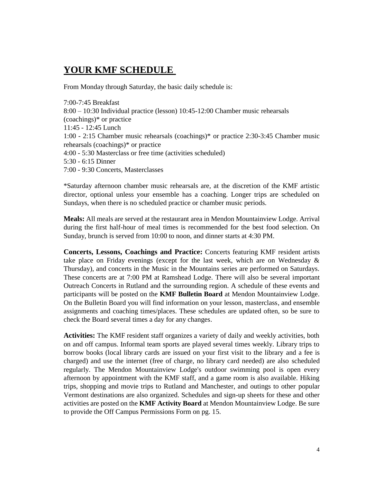### **YOUR KMF SCHEDULE**

From Monday through Saturday, the basic daily schedule is:

7:00-7:45 Breakfast 8:00 – 10:30 Individual practice (lesson) 10:45-12:00 Chamber music rehearsals (coachings)\* or practice 11:45 - 12:45 Lunch 1:00 - 2:15 Chamber music rehearsals (coachings)\* or practice 2:30-3:45 Chamber music rehearsals (coachings)\* or practice 4:00 - 5:30 Masterclass or free time (activities scheduled) 5:30 - 6:15 Dinner 7:00 - 9:30 Concerts, Masterclasses

\*Saturday afternoon chamber music rehearsals are, at the discretion of the KMF artistic director, optional unless your ensemble has a coaching. Longer trips are scheduled on Sundays, when there is no scheduled practice or chamber music periods.

**Meals:** All meals are served at the restaurant area in Mendon Mountainview Lodge. Arrival during the first half-hour of meal times is recommended for the best food selection. On Sunday, brunch is served from 10:00 to noon, and dinner starts at 4:30 PM.

**Concerts, Lessons, Coachings and Practice:** Concerts featuring KMF resident artists take place on Friday evenings (except for the last week, which are on Wednesday & Thursday), and concerts in the Music in the Mountains series are performed on Saturdays. These concerts are at 7:00 PM at Ramshead Lodge. There will also be several important Outreach Concerts in Rutland and the surrounding region. A schedule of these events and participants will be posted on the **KMF Bulletin Board** at Mendon Mountainview Lodge. On the Bulletin Board you will find information on your lesson, masterclass, and ensemble assignments and coaching times/places. These schedules are updated often, so be sure to check the Board several times a day for any changes.

**Activities:** The KMF resident staff organizes a variety of daily and weekly activities, both on and off campus. Informal team sports are played several times weekly. Library trips to borrow books (local library cards are issued on your first visit to the library and a fee is charged) and use the internet (free of charge, no library card needed) are also scheduled regularly. The Mendon Mountainview Lodge's outdoor swimming pool is open every afternoon by appointment with the KMF staff, and a game room is also available. Hiking trips, shopping and movie trips to Rutland and Manchester, and outings to other popular Vermont destinations are also organized. Schedules and sign-up sheets for these and other activities are posted on the **KMF Activity Board** at Mendon Mountainview Lodge. Be sure to provide the Off Campus Permissions Form on pg. 15.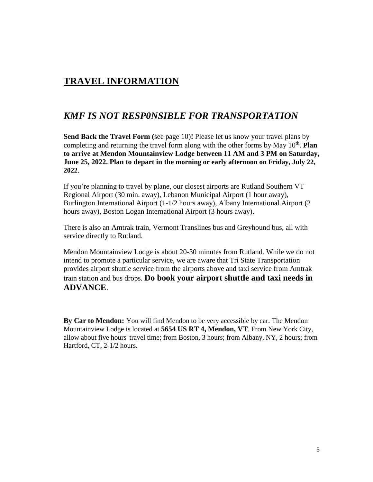### **TRAVEL INFORMATION**

### *KMF IS NOT RESP0NSIBLE FOR TRANSPORTATION*

**Send Back the Travel Form (**see page 10)**!** Please let us know your travel plans by completing and returning the travel form along with the other forms by May 10<sup>th</sup>. Plan **to arrive at Mendon Mountainview Lodge between 11 AM and 3 PM on Saturday, June 25, 2022. Plan to depart in the morning or early afternoon on Friday, July 22, 2022**.

If you're planning to travel by plane, our closest airports are Rutland Southern VT Regional Airport (30 min. away), Lebanon Municipal Airport (1 hour away), Burlington International Airport (1-1/2 hours away), Albany International Airport (2 hours away), Boston Logan International Airport (3 hours away).

There is also an Amtrak train, Vermont Translines bus and Greyhound bus, all with service directly to Rutland.

Mendon Mountainview Lodge is about 20-30 minutes from Rutland. While we do not intend to promote a particular service, we are aware that Tri State Transportation provides airport shuttle service from the airports above and taxi service from Amtrak train station and bus drops. **Do book your airport shuttle and taxi needs in ADVANCE**.

**By Car to Mendon:** You will find Mendon to be very accessible by car. The Mendon Mountainview Lodge is located at **5654 US RT 4, Mendon, VT**. From New York City, allow about five hours' travel time; from Boston, 3 hours; from Albany, NY, 2 hours; from Hartford, CT, 2-1/2 hours.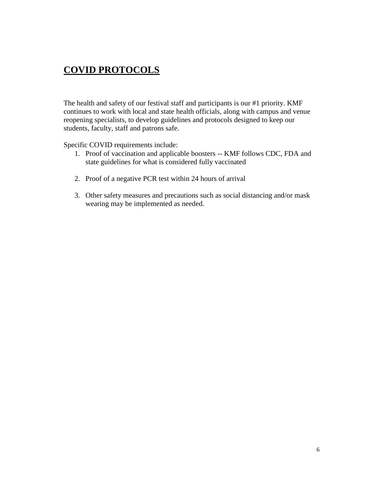### **COVID PROTOCOLS**

The health and safety of our festival staff and participants is our #1 priority. KMF continues to work with local and state health officials, along with campus and venue reopening specialists, to develop guidelines and protocols designed to keep our students, faculty, staff and patrons safe.

Specific COVID requirements include:

- 1. Proof of vaccination and applicable boosters -- KMF follows CDC, FDA and state guidelines for what is considered fully vaccinated
- 2. Proof of a negative PCR test within 24 hours of arrival
- 3. Other safety measures and precautions such as social distancing and/or mask wearing may be implemented as needed.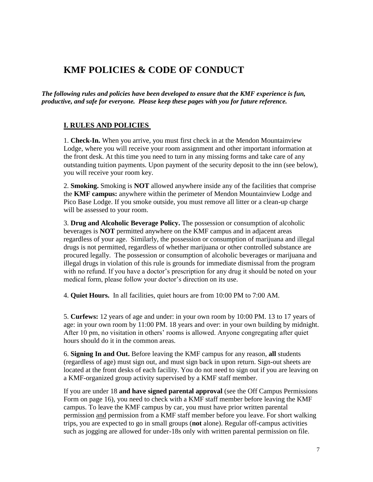### **KMF POLICIES & CODE OF CONDUCT**

*The following rules and policies have been developed to ensure that the KMF experience is fun, productive, and safe for everyone. Please keep these pages with you for future reference.* 

#### **I. RULES AND POLICIES**

1. **Check-In.** When you arrive, you must first check in at the Mendon Mountainview Lodge, where you will receive your room assignment and other important information at the front desk. At this time you need to turn in any missing forms and take care of any outstanding tuition payments. Upon payment of the security deposit to the inn (see below), you will receive your room key.

2. **Smoking.** Smoking is **NOT** allowed anywhere inside any of the facilities that comprise the **KMF campus:** anywhere within the perimeter of Mendon Mountainview Lodge and Pico Base Lodge. If you smoke outside, you must remove all litter or a clean-up charge will be assessed to your room.

3. **Drug and Alcoholic Beverage Policy.** The possession or consumption of alcoholic beverages is **NOT** permitted anywhere on the KMF campus and in adjacent areas regardless of your age. Similarly, the possession or consumption of marijuana and illegal drugs is not permitted, regardless of whether marijuana or other controlled substance are procured legally. The possession or consumption of alcoholic beverages or marijuana and illegal drugs in violation of this rule is grounds for immediate dismissal from the program with no refund. If you have a doctor's prescription for any drug it should be noted on your medical form, please follow your doctor's direction on its use.

4. **Quiet Hours.** In all facilities, quiet hours are from 10:00 PM to 7:00 AM.

5. **Curfews:** 12 years of age and under: in your own room by 10:00 PM. 13 to 17 years of age: in your own room by 11:00 PM. 18 years and over: in your own building by midnight. After 10 pm, no visitation in others' rooms is allowed. Anyone congregating after quiet hours should do it in the common areas.

6. **Signing In and Out.** Before leaving the KMF campus for any reason, **all** students (regardless of age) must sign out, and must sign back in upon return. Sign-out sheets are located at the front desks of each facility. You do not need to sign out if you are leaving on a KMF-organized group activity supervised by a KMF staff member.

If you are under 18 **and have signed parental approval** (see the Off Campus Permissions Form on page 16), you need to check with a KMF staff member before leaving the KMF campus. To leave the KMF campus by car, you must have prior written parental permission and permission from a KMF staff member before you leave. For short walking trips, you are expected to go in small groups (**not** alone). Regular off-campus activities such as jogging are allowed for under-18s only with written parental permission on file.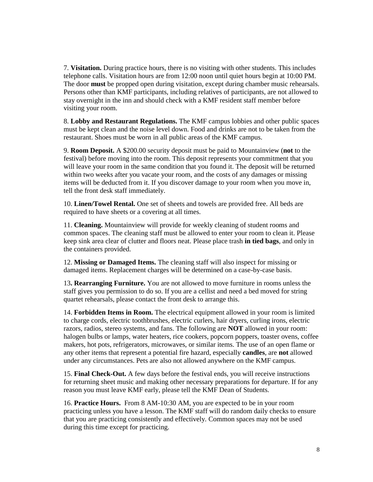7. **Visitation.** During practice hours, there is no visiting with other students. This includes telephone calls. Visitation hours are from 12:00 noon until quiet hours begin at 10:00 PM. The door **must** be propped open during visitation, except during chamber music rehearsals. Persons other than KMF participants, including relatives of participants, are not allowed to stay overnight in the inn and should check with a KMF resident staff member before visiting your room.

8. **Lobby and Restaurant Regulations.** The KMF campus lobbies and other public spaces must be kept clean and the noise level down. Food and drinks are not to be taken from the restaurant. Shoes must be worn in all public areas of the KMF campus.

9. **Room Deposit.** A \$200.00 security deposit must be paid to Mountainview (**not** to the festival) before moving into the room. This deposit represents your commitment that you will leave your room in the same condition that you found it. The deposit will be returned within two weeks after you vacate your room, and the costs of any damages or missing items will be deducted from it. If you discover damage to your room when you move in, tell the front desk staff immediately.

10. **Linen/Towel Rental.** One set of sheets and towels are provided free. All beds are required to have sheets or a covering at all times.

11. **Cleaning.** Mountainview will provide for weekly cleaning of student rooms and common spaces. The cleaning staff must be allowed to enter your room to clean it. Please keep sink area clear of clutter and floors neat. Please place trash **in tied bags**, and only in the containers provided.

12. **Missing or Damaged Items.** The cleaning staff will also inspect for missing or damaged items. Replacement charges will be determined on a case-by-case basis.

13**. Rearranging Furniture.** You are not allowed to move furniture in rooms unless the staff gives you permission to do so. If you are a cellist and need a bed moved for string quartet rehearsals, please contact the front desk to arrange this.

14. **Forbidden Items in Room.** The electrical equipment allowed in your room is limited to charge cords, electric toothbrushes, electric curlers, hair dryers, curling irons, electric razors, radios, stereo systems, and fans. The following are **NOT** allowed in your room: halogen bulbs or lamps, water heaters, rice cookers, popcorn poppers, toaster ovens, coffee makers, hot pots, refrigerators, microwaves, or similar items. The use of an open flame or any other items that represent a potential fire hazard, especially **candles**, are **not** allowed under any circumstances. Pets are also not allowed anywhere on the KMF campus.

15. **Final Check-Out.** A few days before the festival ends, you will receive instructions for returning sheet music and making other necessary preparations for departure. If for any reason you must leave KMF early, please tell the KMF Dean of Students.

16. **Practice Hours.** From 8 AM-10:30 AM, you are expected to be in your room practicing unless you have a lesson. The KMF staff will do random daily checks to ensure that you are practicing consistently and effectively. Common spaces may not be used during this time except for practicing.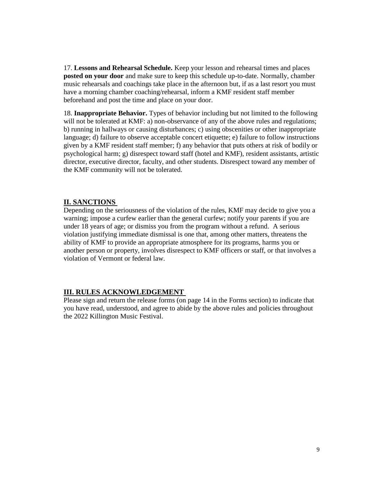17. **Lessons and Rehearsal Schedule.** Keep your lesson and rehearsal times and places **posted on your door** and make sure to keep this schedule up-to-date. Normally, chamber music rehearsals and coachings take place in the afternoon but, if as a last resort you must have a morning chamber coaching/rehearsal, inform a KMF resident staff member beforehand and post the time and place on your door.

18. **Inappropriate Behavior.** Types of behavior including but not limited to the following will not be tolerated at KMF: a) non-observance of any of the above rules and regulations; b) running in hallways or causing disturbances; c) using obscenities or other inappropriate language; d) failure to observe acceptable concert etiquette; e) failure to follow instructions given by a KMF resident staff member; f) any behavior that puts others at risk of bodily or psychological harm; g) disrespect toward staff (hotel and KMF), resident assistants, artistic director, executive director, faculty, and other students. Disrespect toward any member of the KMF community will not be tolerated.

#### **II. SANCTIONS**

Depending on the seriousness of the violation of the rules, KMF may decide to give you a warning; impose a curfew earlier than the general curfew; notify your parents if you are under 18 years of age; or dismiss you from the program without a refund. A serious violation justifying immediate dismissal is one that, among other matters, threatens the ability of KMF to provide an appropriate atmosphere for its programs, harms you or another person or property, involves disrespect to KMF officers or staff, or that involves a violation of Vermont or federal law.

#### **III. RULES ACKNOWLEDGEMENT**

Please sign and return the release forms (on page 14 in the Forms section) to indicate that you have read, understood, and agree to abide by the above rules and policies throughout the 2022 Killington Music Festival.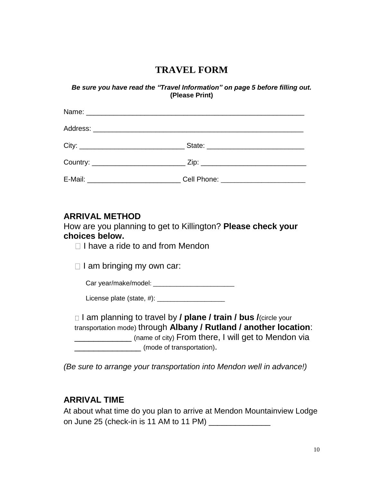### **TRAVEL FORM**

*Be sure you have read the "Travel Information" on page 5 before filling out.*  **(Please Print)** 

| E-Mail: Cell Phone: Call Phone: 2008. [19] Phone: 2008. [19] Phone: 2008. [20] Phone: 2008. [20] Phone: 2018. [20] Phone: 2018. [20] Phone: 2018. [20] Phone: 2018. [20] Phone: 2018. [20] Phone: 2018. [20] Phone: 2018. [20] |
|--------------------------------------------------------------------------------------------------------------------------------------------------------------------------------------------------------------------------------|

### **ARRIVAL METHOD**

How are you planning to get to Killington? **Please check your choices below.** 

 $\Box$  I have a ride to and from Mendon

 $\Box$  I am bringing my own car:

Car year/make/model: \_\_\_\_\_\_\_\_\_\_\_\_\_\_\_\_\_\_\_\_\_\_\_\_

License plate (state, #): \_\_\_\_\_\_\_\_\_\_\_\_\_\_\_\_\_\_\_\_

□ I am planning to travel by **/ plane / train / bus /**(circle your transportation mode) through **Albany / Rutland / another location**: \_\_\_\_\_\_\_\_\_\_\_\_ (name of city) From there, I will get to Mendon via \_\_\_\_\_\_\_\_\_\_\_\_\_\_ (mode of transportation).

*(Be sure to arrange your transportation into Mendon well in advance!)* 

### **ARRIVAL TIME**

At about what time do you plan to arrive at Mendon Mountainview Lodge on June 25 (check-in is 11 AM to 11 PM)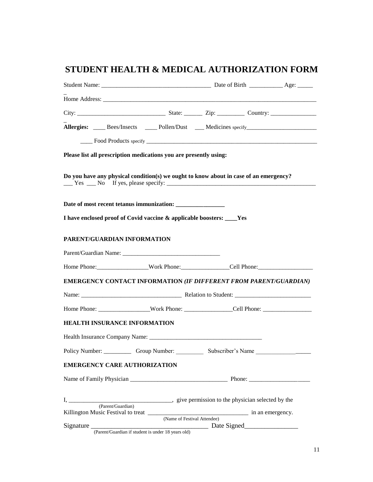## **STUDENT HEALTH & MEDICAL AUTHORIZATION FORM**

|                | Allergies: _____ Bees/Insects _____ Pollen/Dust ____ Medicines specify______________________________                                                                                                                                                                                                                                                                            |  |  |  |  |
|----------------|---------------------------------------------------------------------------------------------------------------------------------------------------------------------------------------------------------------------------------------------------------------------------------------------------------------------------------------------------------------------------------|--|--|--|--|
|                |                                                                                                                                                                                                                                                                                                                                                                                 |  |  |  |  |
|                | Please list all prescription medications you are presently using:                                                                                                                                                                                                                                                                                                               |  |  |  |  |
|                | Do you have any physical condition(s) we ought to know about in case of an emergency?                                                                                                                                                                                                                                                                                           |  |  |  |  |
|                |                                                                                                                                                                                                                                                                                                                                                                                 |  |  |  |  |
|                | I have enclosed proof of Covid vaccine & applicable boosters: ____Yes                                                                                                                                                                                                                                                                                                           |  |  |  |  |
|                | PARENT/GUARDIAN INFORMATION                                                                                                                                                                                                                                                                                                                                                     |  |  |  |  |
|                | Parent/Guardian Name:                                                                                                                                                                                                                                                                                                                                                           |  |  |  |  |
|                |                                                                                                                                                                                                                                                                                                                                                                                 |  |  |  |  |
|                | <b>EMERGENCY CONTACT INFORMATION (IF DIFFERENT FROM PARENT/GUARDIAN)</b>                                                                                                                                                                                                                                                                                                        |  |  |  |  |
|                |                                                                                                                                                                                                                                                                                                                                                                                 |  |  |  |  |
|                |                                                                                                                                                                                                                                                                                                                                                                                 |  |  |  |  |
|                | HEALTH INSURANCE INFORMATION                                                                                                                                                                                                                                                                                                                                                    |  |  |  |  |
|                |                                                                                                                                                                                                                                                                                                                                                                                 |  |  |  |  |
| Policy Number: |                                                                                                                                                                                                                                                                                                                                                                                 |  |  |  |  |
|                | <b>EMERGENCY CARE AUTHORIZATION</b>                                                                                                                                                                                                                                                                                                                                             |  |  |  |  |
|                |                                                                                                                                                                                                                                                                                                                                                                                 |  |  |  |  |
|                |                                                                                                                                                                                                                                                                                                                                                                                 |  |  |  |  |
|                |                                                                                                                                                                                                                                                                                                                                                                                 |  |  |  |  |
|                | Killington Music Festival to treat (Name of Festival Attendee) in an emergency.                                                                                                                                                                                                                                                                                                 |  |  |  |  |
|                |                                                                                                                                                                                                                                                                                                                                                                                 |  |  |  |  |
|                | $Signature$ $\overline{O(1)}$ $\overline{O(1)}$ $\overline{O(1)}$ $\overline{O(1)}$ $\overline{O(1)}$ $\overline{O(1)}$ $\overline{O(1)}$ $\overline{O(1)}$ $\overline{O(1)}$ $\overline{O(1)}$ $\overline{O(1)}$ $\overline{O(1)}$ $\overline{O(1)}$ $\overline{O(1)}$ $\overline{O(1)}$ $\overline{O(1)}$ $\overline{O(1)}$ $\overline{O(1)}$ $\overline{O(1)}$ $\overline{O$ |  |  |  |  |

(Parent/Guardian if student is under 18 years old)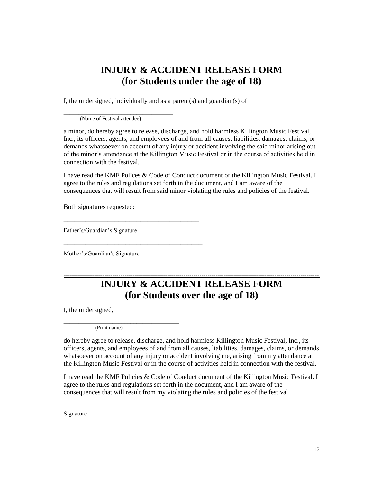### **INJURY & ACCIDENT RELEASE FORM (for Students under the age of 18)**

I, the undersigned, individually and as a parent(s) and guardian(s) of

(Name of Festival attendee)

\_\_\_\_\_\_\_\_\_\_\_\_\_\_\_\_\_\_\_\_\_\_\_\_\_\_\_\_\_\_\_\_\_\_\_\_

a minor, do hereby agree to release, discharge, and hold harmless Killington Music Festival, Inc., its officers, agents, and employees of and from all causes, liabilities, damages, claims, or demands whatsoever on account of any injury or accident involving the said minor arising out of the minor's attendance at the Killington Music Festival or in the course of activities held in connection with the festival.

I have read the KMF Polices & Code of Conduct document of the Killington Music Festival. I agree to the rules and regulations set forth in the document, and I am aware of the consequences that will result from said minor violating the rules and policies of the festival.

Both signatures requested:

Father's/Guardian's Signature

\_\_\_\_\_\_\_\_\_\_\_\_\_\_\_\_\_\_\_\_\_\_\_\_\_\_\_\_\_\_\_\_\_\_\_\_\_

\_\_\_\_\_\_\_\_\_\_\_\_\_\_\_\_\_\_\_\_\_\_\_\_\_\_\_\_\_\_\_\_\_\_\_\_\_\_

Mother's/Guardian's Signature

### **------------------------------------------------------------------------------------------------------------------------------ INJURY & ACCIDENT RELEASE FORM (for Students over the age of 18)**

I, the undersigned,

(Print name)

\_\_\_\_\_\_\_\_\_\_\_\_\_\_\_\_\_\_\_\_\_\_\_\_\_\_\_\_\_\_\_\_\_\_\_\_\_\_

\_\_\_\_\_\_\_\_\_\_\_\_\_\_\_\_\_\_\_\_\_\_\_\_\_\_\_\_\_\_\_\_\_\_\_\_\_\_\_

do hereby agree to release, discharge, and hold harmless Killington Music Festival, Inc., its officers, agents, and employees of and from all causes, liabilities, damages, claims, or demands whatsoever on account of any injury or accident involving me, arising from my attendance at the Killington Music Festival or in the course of activities held in connection with the festival.

I have read the KMF Policies & Code of Conduct document of the Killington Music Festival. I agree to the rules and regulations set forth in the document, and I am aware of the consequences that will result from my violating the rules and policies of the festival.

Signature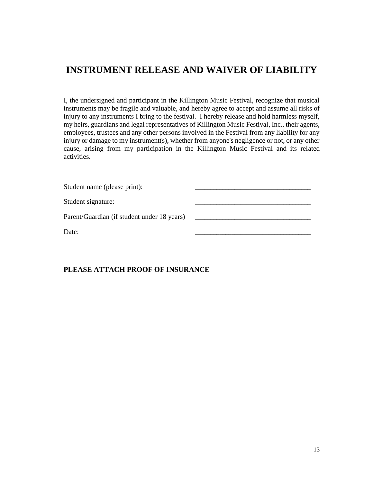### **INSTRUMENT RELEASE AND WAIVER OF LIABILITY**

I, the undersigned and participant in the Killington Music Festival, recognize that musical instruments may be fragile and valuable, and hereby agree to accept and assume all risks of injury to any instruments I bring to the festival. I hereby release and hold harmless myself, my heirs, guardians and legal representatives of Killington Music Festival, Inc., their agents, employees, trustees and any other persons involved in the Festival from any liability for any injury or damage to my instrument(s), whether from anyone's negligence or not, or any other cause, arising from my participation in the Killington Music Festival and its related activities.

| Student name (please print):                |  |
|---------------------------------------------|--|
| Student signature:                          |  |
| Parent/Guardian (if student under 18 years) |  |
| Date:                                       |  |

#### **PLEASE ATTACH PROOF OF INSURANCE**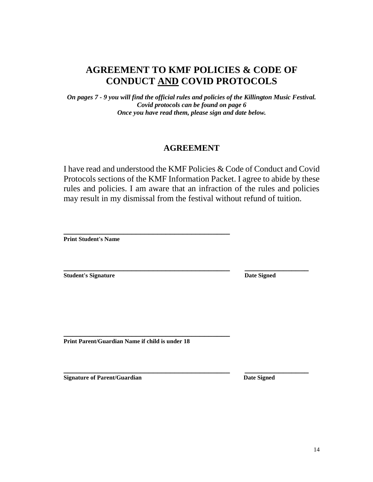### **AGREEMENT TO KMF POLICIES & CODE OF CONDUCT AND COVID PROTOCOLS**

*On pages 7 - 9 you will find the official rules and policies of the Killington Music Festival. Covid protocols can be found on page 6 Once you have read them, please sign and date below.*

### **AGREEMENT**

I have read and understood the KMF Policies & Code of Conduct and Covid Protocols sections of the KMF Information Packet. I agree to abide by these rules and policies. I am aware that an infraction of the rules and policies may result in my dismissal from the festival without refund of tuition.

**\_\_\_\_\_\_\_\_\_\_\_\_\_\_\_\_\_\_\_\_\_\_\_\_\_\_\_\_\_\_\_\_\_\_\_\_\_\_\_ Print Student's Name**

**Student's Signature Date Signed Date Signed** 

**\_\_\_\_\_\_\_\_\_\_\_\_\_\_\_\_\_\_\_\_\_\_\_\_\_\_\_\_\_\_\_\_\_\_\_\_\_\_\_ \_\_\_\_\_\_\_\_\_\_\_\_\_\_\_**

**\_\_\_\_\_\_\_\_\_\_\_\_\_\_\_\_\_\_\_\_\_\_\_\_\_\_\_\_\_\_\_\_\_\_\_\_\_\_\_ Print Parent/Guardian Name if child is under 18**

**Signature of Parent/Guardian Date Signed Date Signed** 

**\_\_\_\_\_\_\_\_\_\_\_\_\_\_\_\_\_\_\_\_\_\_\_\_\_\_\_\_\_\_\_\_\_\_\_\_\_\_\_ \_\_\_\_\_\_\_\_\_\_\_\_\_\_\_**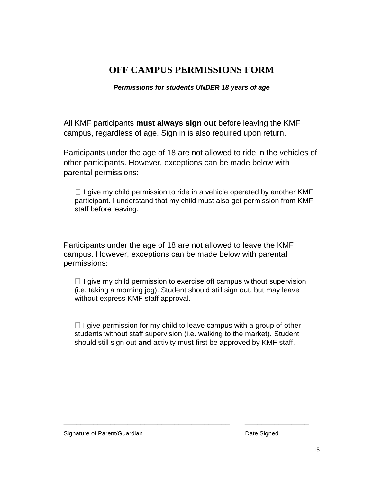### **OFF CAMPUS PERMISSIONS FORM**

*Permissions for students UNDER 18 years of age*

All KMF participants **must always sign out** before leaving the KMF campus, regardless of age. Sign in is also required upon return.

Participants under the age of 18 are not allowed to ride in the vehicles of other participants. However, exceptions can be made below with parental permissions:

 $\Box$  I give my child permission to ride in a vehicle operated by another KMF participant. I understand that my child must also get permission from KMF staff before leaving.

Participants under the age of 18 are not allowed to leave the KMF campus. However, exceptions can be made below with parental permissions:

 $\Box$  I give my child permission to exercise off campus without supervision (i.e. taking a morning jog). Student should still sign out, but may leave without express KMF staff approval.

 $\Box$  I give permission for my child to leave campus with a group of other students without staff supervision (i.e. walking to the market). Student should still sign out **and** activity must first be approved by KMF staff.

**\_\_\_\_\_\_\_\_\_\_\_\_\_\_\_\_\_\_\_\_\_\_\_\_\_\_\_\_\_\_\_\_\_\_\_\_\_\_\_ \_\_\_\_\_\_\_\_\_\_\_\_\_\_\_**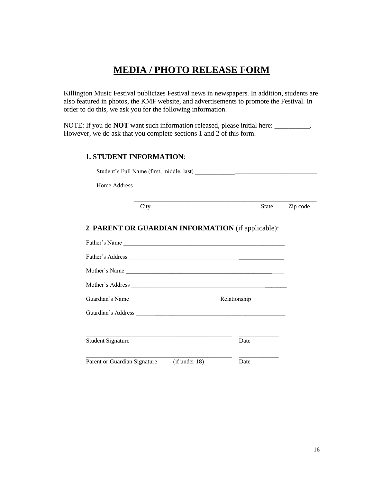### **MEDIA / PHOTO RELEASE FORM**

Killington Music Festival publicizes Festival news in newspapers. In addition, students are also featured in photos, the KMF website, and advertisements to promote the Festival. In order to do this, we ask you for the following information.

NOTE: If you do **NOT** want such information released, please initial here: \_\_\_\_\_\_\_\_\_\_. However, we do ask that you complete sections 1 and 2 of this form.

#### **1. STUDENT INFORMATION**:

| City                                               | <b>State</b> | Zip code |
|----------------------------------------------------|--------------|----------|
| 2. PARENT OR GUARDIAN INFORMATION (if applicable): |              |          |
| Father's Name                                      |              |          |
|                                                    |              |          |
| Mother's Name                                      |              |          |
|                                                    |              |          |
|                                                    |              |          |
|                                                    |              |          |
| <b>Student Signature</b>                           | Date         |          |
| Parent or Guardian Signature<br>(if under 18)      | Date         |          |